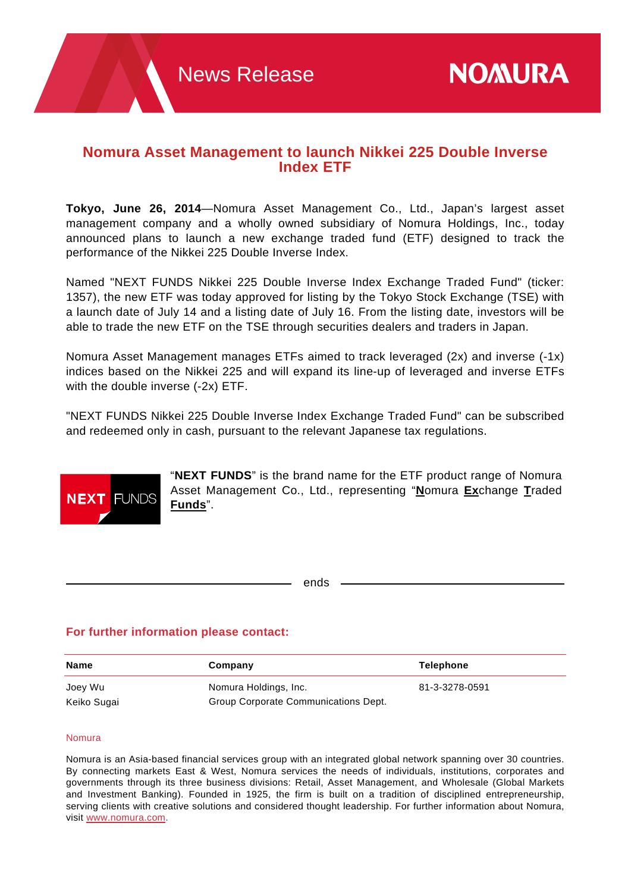# **Nomura Asset Management to launch Nikkei 225 Double Inverse Index ETF**

**Tokyo, June 26, 2014**—Nomura Asset Management Co., Ltd., Japan's largest asset management company and a wholly owned subsidiary of Nomura Holdings, Inc., today announced plans to launch a new exchange traded fund (ETF) designed to track the performance of the Nikkei 225 Double Inverse Index.

Named "NEXT FUNDS Nikkei 225 Double Inverse Index Exchange Traded Fund" (ticker: 1357), the new ETF was today approved for listing by the Tokyo Stock Exchange (TSE) with a launch date of July 14 and a listing date of July 16. From the listing date, investors will be able to trade the new ETF on the TSE through securities dealers and traders in Japan.

Nomura Asset Management manages ETFs aimed to track leveraged (2x) and inverse (-1x) indices based on the Nikkei 225 and will expand its line-up of leveraged and inverse ETFs with the double inverse (-2x) ETF.

"NEXT FUNDS Nikkei 225 Double Inverse Index Exchange Traded Fund" can be subscribed and redeemed only in cash, pursuant to the relevant Japanese tax regulations.



"**NEXT FUNDS**" is the brand name for the ETF product range of Nomura Asset Management Co., Ltd., representing "**N**omura **Ex**change **T**raded **Funds**".

ends

# **For further information please contact:**

| <b>Name</b> | Company                              | <b>Telephone</b> |
|-------------|--------------------------------------|------------------|
| Joey Wu     | Nomura Holdings, Inc.                | 81-3-3278-0591   |
| Keiko Sugai | Group Corporate Communications Dept. |                  |

### Nomura

Nomura is an Asia-based financial services group with an integrated global network spanning over 30 countries. By connecting markets East & West, Nomura services the needs of individuals, institutions, corporates and governments through its three business divisions: Retail, Asset Management, and Wholesale (Global Markets and Investment Banking). Founded in 1925, the firm is built on a tradition of disciplined entrepreneurship, serving clients with creative solutions and considered thought leadership. For further information about Nomura, visit www.nomura.com.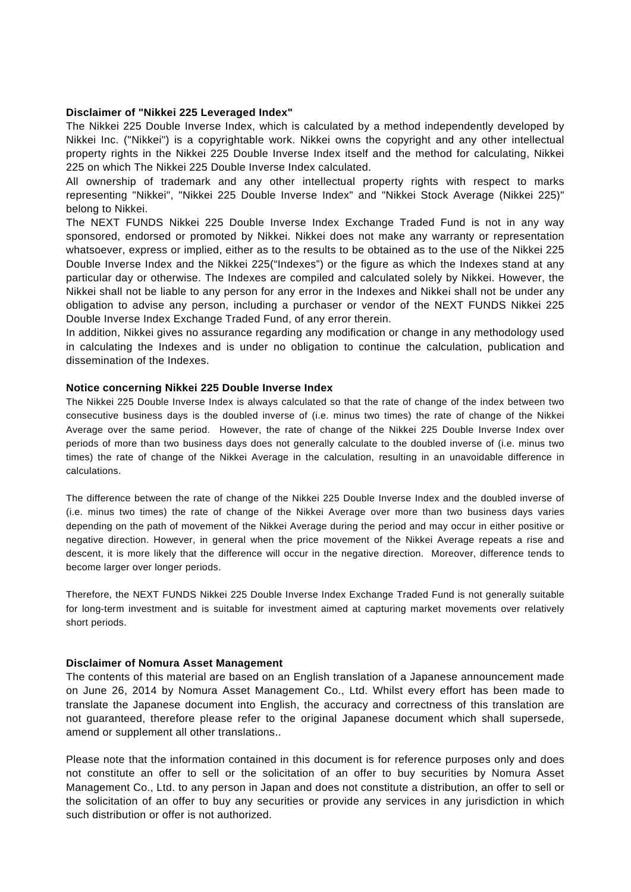#### **Disclaimer of "Nikkei 225 Leveraged Index"**

The Nikkei 225 Double Inverse Index, which is calculated by a method independently developed by Nikkei Inc. ("Nikkei") is a copyrightable work. Nikkei owns the copyright and any other intellectual property rights in the Nikkei 225 Double Inverse Index itself and the method for calculating, Nikkei 225 on which The Nikkei 225 Double Inverse Index calculated.

All ownership of trademark and any other intellectual property rights with respect to marks representing "Nikkei", "Nikkei 225 Double Inverse Index" and "Nikkei Stock Average (Nikkei 225)" belong to Nikkei.

The NEXT FUNDS Nikkei 225 Double Inverse Index Exchange Traded Fund is not in any way sponsored, endorsed or promoted by Nikkei. Nikkei does not make any warranty or representation whatsoever, express or implied, either as to the results to be obtained as to the use of the Nikkei 225 Double Inverse Index and the Nikkei 225("Indexes") or the figure as which the Indexes stand at any particular day or otherwise. The Indexes are compiled and calculated solely by Nikkei. However, the Nikkei shall not be liable to any person for any error in the Indexes and Nikkei shall not be under any obligation to advise any person, including a purchaser or vendor of the NEXT FUNDS Nikkei 225 Double Inverse Index Exchange Traded Fund, of any error therein.

In addition, Nikkei gives no assurance regarding any modification or change in any methodology used in calculating the Indexes and is under no obligation to continue the calculation, publication and dissemination of the Indexes.

### **Notice concerning Nikkei 225 Double Inverse Index**

The Nikkei 225 Double Inverse Index is always calculated so that the rate of change of the index between two consecutive business days is the doubled inverse of (i.e. minus two times) the rate of change of the Nikkei Average over the same period. However, the rate of change of the Nikkei 225 Double Inverse Index over periods of more than two business days does not generally calculate to the doubled inverse of (i.e. minus two times) the rate of change of the Nikkei Average in the calculation, resulting in an unavoidable difference in calculations.

The difference between the rate of change of the Nikkei 225 Double Inverse Index and the doubled inverse of (i.e. minus two times) the rate of change of the Nikkei Average over more than two business days varies depending on the path of movement of the Nikkei Average during the period and may occur in either positive or negative direction. However, in general when the price movement of the Nikkei Average repeats a rise and descent, it is more likely that the difference will occur in the negative direction. Moreover, difference tends to become larger over longer periods.

Therefore, the NEXT FUNDS Nikkei 225 Double Inverse Index Exchange Traded Fund is not generally suitable for long-term investment and is suitable for investment aimed at capturing market movements over relatively short periods.

#### **Disclaimer of Nomura Asset Management**

The contents of this material are based on an English translation of a Japanese announcement made on June 26, 2014 by Nomura Asset Management Co., Ltd. Whilst every effort has been made to translate the Japanese document into English, the accuracy and correctness of this translation are not guaranteed, therefore please refer to the original Japanese document which shall supersede, amend or supplement all other translations..

Please note that the information contained in this document is for reference purposes only and does not constitute an offer to sell or the solicitation of an offer to buy securities by Nomura Asset Management Co., Ltd. to any person in Japan and does not constitute a distribution, an offer to sell or the solicitation of an offer to buy any securities or provide any services in any jurisdiction in which such distribution or offer is not authorized.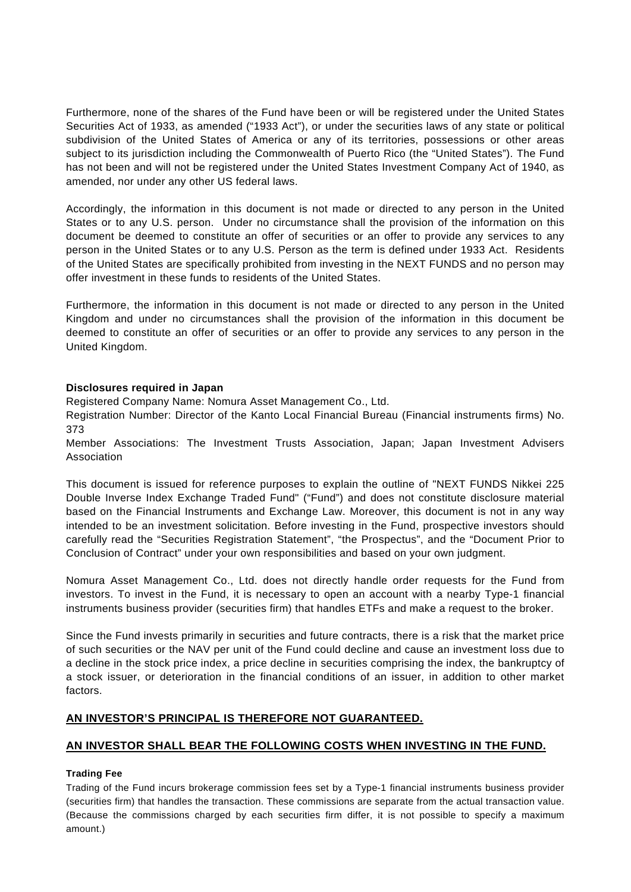Furthermore, none of the shares of the Fund have been or will be registered under the United States Securities Act of 1933, as amended ("1933 Act"), or under the securities laws of any state or political subdivision of the United States of America or any of its territories, possessions or other areas subject to its jurisdiction including the Commonwealth of Puerto Rico (the "United States"). The Fund has not been and will not be registered under the United States Investment Company Act of 1940, as amended, nor under any other US federal laws.

Accordingly, the information in this document is not made or directed to any person in the United States or to any U.S. person. Under no circumstance shall the provision of the information on this document be deemed to constitute an offer of securities or an offer to provide any services to any person in the United States or to any U.S. Person as the term is defined under 1933 Act. Residents of the United States are specifically prohibited from investing in the NEXT FUNDS and no person may offer investment in these funds to residents of the United States.

Furthermore, the information in this document is not made or directed to any person in the United Kingdom and under no circumstances shall the provision of the information in this document be deemed to constitute an offer of securities or an offer to provide any services to any person in the United Kingdom.

## **Disclosures required in Japan**

Registered Company Name: Nomura Asset Management Co., Ltd.

Registration Number: Director of the Kanto Local Financial Bureau (Financial instruments firms) No. 373

Member Associations: The Investment Trusts Association, Japan; Japan Investment Advisers Association

This document is issued for reference purposes to explain the outline of "NEXT FUNDS Nikkei 225 Double Inverse Index Exchange Traded Fund" ("Fund") and does not constitute disclosure material based on the Financial Instruments and Exchange Law. Moreover, this document is not in any way intended to be an investment solicitation. Before investing in the Fund, prospective investors should carefully read the "Securities Registration Statement", "the Prospectus", and the "Document Prior to Conclusion of Contract" under your own responsibilities and based on your own judgment.

Nomura Asset Management Co., Ltd. does not directly handle order requests for the Fund from investors. To invest in the Fund, it is necessary to open an account with a nearby Type-1 financial instruments business provider (securities firm) that handles ETFs and make a request to the broker.

Since the Fund invests primarily in securities and future contracts, there is a risk that the market price of such securities or the NAV per unit of the Fund could decline and cause an investment loss due to a decline in the stock price index, a price decline in securities comprising the index, the bankruptcy of a stock issuer, or deterioration in the financial conditions of an issuer, in addition to other market factors.

# **AN INVESTOR'S PRINCIPAL IS THEREFORE NOT GUARANTEED.**

## **AN INVESTOR SHALL BEAR THE FOLLOWING COSTS WHEN INVESTING IN THE FUND.**

## **Trading Fee**

Trading of the Fund incurs brokerage commission fees set by a Type-1 financial instruments business provider (securities firm) that handles the transaction. These commissions are separate from the actual transaction value. (Because the commissions charged by each securities firm differ, it is not possible to specify a maximum amount.)